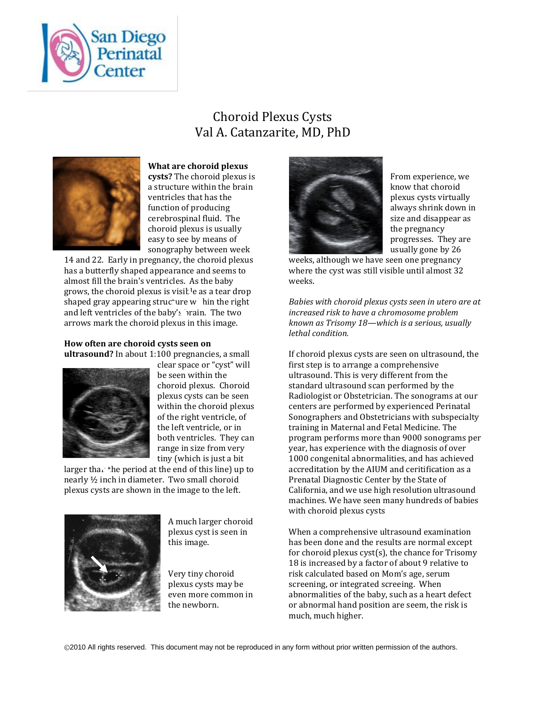

## Choroid Plexus Cysts Val A. Catanzarite, MD, PhD



**What are choroid plexus cysts?** The choroid plexus is a structure within the brain ventricles that has the function of producing cerebrospinal fluid. The choroid plexus is usually easy to see by means of sonography between week

14 and 22. Early in pregnancy, the choroid plexus has a butterfly shaped appearance and seems to almost fill the brain's ventricles. As the baby grows, the choroid plexus is visit  $\text{Re}$  as a tear drop shaped gray appearing structure within the right and left ventricles of the baby's brain. The two arrows mark the choroid plexus in this image.

## **How often are choroid cysts seen on ultrasound?** In about 1:100 pregnancies, a small



clear space or "cyst" will be seen within the choroid plexus. Choroid plexus cysts can be seen within the choroid plexus of the right ventricle, of the left ventricle, or in both ventricles. They can range in size from very tiny (which is just a bit

larger than the period at the end of this line) up to nearly ½ inch in diameter. Two small choroid plexus cysts are shown in the image to the left.



A much larger choroid plexus cyst is seen in this image.

Very tiny choroid plexus cysts may be even more common in the newborn.



From experience, we know that choroid plexus cysts virtually always shrink down in size and disappear as the pregnancy progresses. They are usually gone by 26

weeks, although we have seen one pregnancy where the cyst was still visible until almost 32 weeks.

*Babies with choroid plexus cysts seen in utero are at increased risk to have a chromosome problem known as Trisomy 18—which is a serious, usually lethal condition.* 

If choroid plexus cysts are seen on ultrasound, the first step is to arrange a comprehensive ultrasound. This is very different from the standard ultrasound scan performed by the Radiologist or Obstetrician. The sonograms at our centers are performed by experienced Perinatal Sonographers and Obstetricians with subspecialty training in Maternal and Fetal Medicine. The program performs more than 9000 sonograms per year, has experience with the diagnosis of over 1000 congenital abnormalities, and has achieved accreditation by the AIUM and ceritification as a Prenatal Diagnostic Center by the State of California, and we use high resolution ultrasound machines. We have seen many hundreds of babies with choroid plexus cysts

When a comprehensive ultrasound examination has been done and the results are normal except for choroid plexus cyst(s), the chance for Trisomy 18 is increased by a factor of about 9 relative to risk calculated based on Mom's age, serum screening, or integrated screeing. When abnormalities of the baby, such as a heart defect or abnormal hand position are seem, the risk is much, much higher.

©2010 All rights reserved. This document may not be reproduced in any form without prior written permission of the authors.